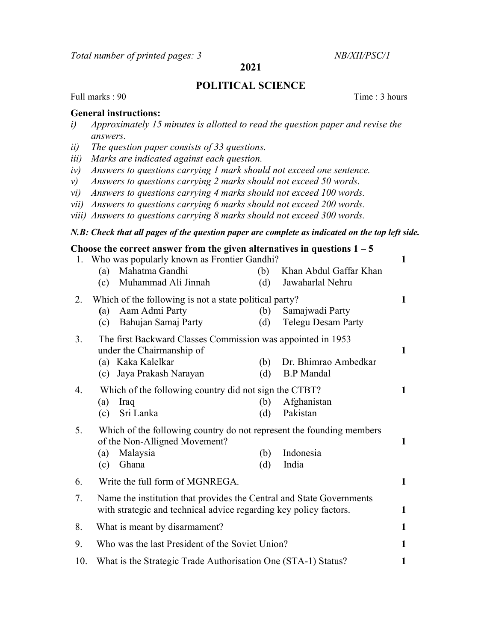Total number of printed pages: 3 NB/XII/PSC/1

# 2021

# POLITICAL SCIENCE

Full marks : 90 Time : 3 hours

## General instructions:

- i) Approximately 15 minutes is allotted to read the question paper and revise the answers.
- ii) The question paper consists of 33 questions.
- iii) Marks are indicated against each question.
- iv) Answers to questions carrying 1 mark should not exceed one sentence.
- v) Answers to questions carrying 2 marks should not exceed 50 words.
- vi) Answers to questions carrying 4 marks should not exceed 100 words.
- vii) Answers to questions carrying 6 marks should not exceed 200 words.
- viii) Answers to questions carrying 8 marks should not exceed 300 words.

### N.B: Check that all pages of the question paper are complete as indicated on the top left side.

### Choose the correct answer from the given alternatives in questions  $1 - 5$

1. Who was popularly known as Frontier Gandhi? 1 (a) Mahatma Gandhi (b) Khan Abdul Gaffar Khan (c) Muhammad Ali Jinnah (d) Jawaharlal Nehru 2. Which of the following is not a state political party? 1 (a) Aam Admi Party (b) Samajwadi Party (c) Bahujan Samaj Party (d) Telegu Desam Party 3. The first Backward Classes Commission was appointed in 1953 under the Chairmanship of 1 (a) Kaka Kalelkar (b) Dr. Bhimrao Ambedkar (c) Jaya Prakash Narayan (d) B.P Mandal 4. Which of the following country did not sign the CTBT? 1 (a) Iraq (b) Afghanistan (c) Sri Lanka (d) Pakistan 5. Which of the following country do not represent the founding members of the Non-Alligned Movement? (a) Malaysia (b) Indonesia (c) Ghana (d) India 6. Write the full form of MGNREGA. 1 7. Name the institution that provides the Central and State Governments with strategic and technical advice regarding key policy factors. 8. What is meant by disarmament? 9. Who was the last President of the Soviet Union? 1 10. What is the Strategic Trade Authorisation One (STA-1) Status? 1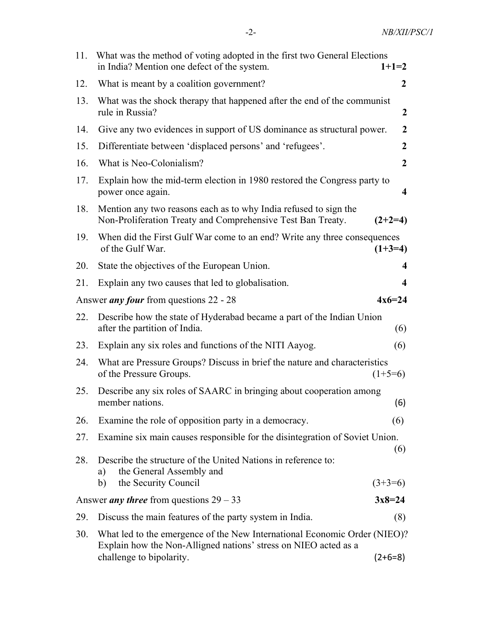| 11.        | What was the method of voting adopted in the first two General Elections<br>in India? Mention one defect of the system.                                                                                 | $1+1=2$          |
|------------|---------------------------------------------------------------------------------------------------------------------------------------------------------------------------------------------------------|------------------|
| 12.        | What is meant by a coalition government?                                                                                                                                                                | 2                |
| 13.        | What was the shock therapy that happened after the end of the communist<br>rule in Russia?                                                                                                              | 2                |
| 14.        | Give any two evidences in support of US dominance as structural power.                                                                                                                                  | $\overline{2}$   |
| 15.        | Differentiate between 'displaced persons' and 'refugees'.                                                                                                                                               | $\boldsymbol{2}$ |
| 16.        | What is Neo-Colonialism?                                                                                                                                                                                | $\overline{2}$   |
| 17.        | Explain how the mid-term election in 1980 restored the Congress party to<br>power once again.                                                                                                           | 4                |
| 18.        | Mention any two reasons each as to why India refused to sign the<br>Non-Proliferation Treaty and Comprehensive Test Ban Treaty.                                                                         | $(2+2=4)$        |
| 19.        | When did the First Gulf War come to an end? Write any three consequences<br>of the Gulf War.                                                                                                            | $(1+3=4)$        |
| 20.        | State the objectives of the European Union.                                                                                                                                                             | 4                |
| 21.        | Explain any two causes that led to globalisation.                                                                                                                                                       | 4                |
|            | Answer <i>any four</i> from questions 22 - 28                                                                                                                                                           | $4x6=24$         |
|            |                                                                                                                                                                                                         |                  |
| 22.        | Describe how the state of Hyderabad became a part of the Indian Union<br>after the partition of India.                                                                                                  | (6)              |
| 23.        | Explain any six roles and functions of the NITI Aayog.                                                                                                                                                  | (6)              |
| 24.        | What are Pressure Groups? Discuss in brief the nature and characteristics<br>of the Pressure Groups.                                                                                                    | $(1+5=6)$        |
| 25.        | Describe any six roles of SAARC in bringing about cooperation among<br>member nations.                                                                                                                  | (6)              |
| 26.        | Examine the role of opposition party in a democracy.                                                                                                                                                    | (6)              |
| 27.        | Examine six main causes responsible for the disintegration of Soviet Union.                                                                                                                             |                  |
| 28.        | Describe the structure of the United Nations in reference to:<br>the General Assembly and<br>a)                                                                                                         | (6)              |
|            | the Security Council<br>b)                                                                                                                                                                              | $(3+3=6)$        |
|            | Answer <i>any three</i> from questions $29 - 33$                                                                                                                                                        | $3x8=24$         |
| 29.<br>30. | Discuss the main features of the party system in India.<br>What led to the emergence of the New International Economic Order (NIEO)?<br>Explain how the Non-Alligned nations' stress on NIEO acted as a | (8)              |